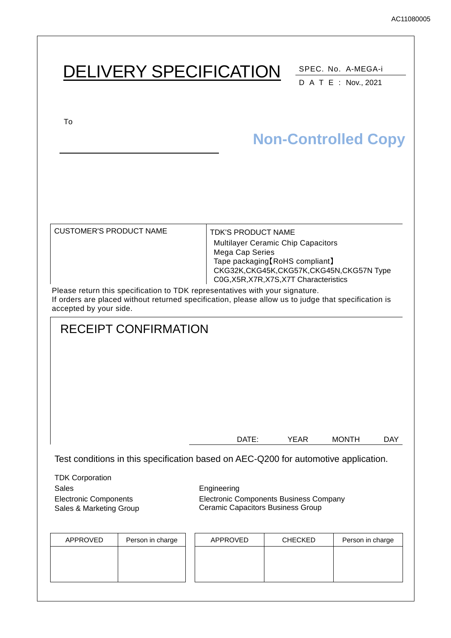# DELIVERY SPECIFICATION SPEC. No. A-MEGA-i DATE : Nov., 2021 To CUSTOMER'S PRODUCT NAME TDK'S PRODUCT NAME Multilayer Ceramic Chip Capacitors Mega Cap Series Tape packaging【RoHS compliant】 CKG32K,CKG45K,CKG57K,CKG45N,CKG57N Type C0G,X5R,X7R,X7S,X7T Characteristics Please return this specification to TDK representatives with your signature. If orders are placed without returned specification, please allow us to judge that specification is accepted by your side. RECEIPT CONFIRMATION DATE: YEAR MONTH DAY Test conditions in this specification based on AEC-Q200 for automotive application. TDK Corporation Sales **Engineering** Electronic Components Sales & Marketing Group Electronic Components Business Company Ceramic Capacitors Business Group **Non-Controlled Copy**

| APPROVED | Person in charge | APPROVED | <b>CHECKED</b> | Person in charge |
|----------|------------------|----------|----------------|------------------|
|          |                  |          |                |                  |
|          |                  |          |                |                  |
|          |                  |          |                |                  |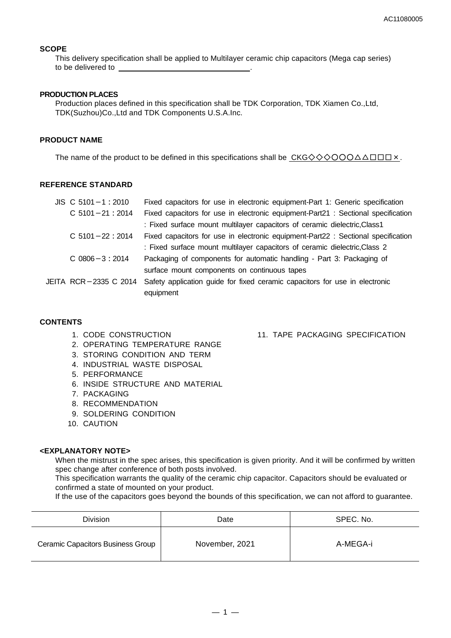#### **SCOPE**

This delivery specification shall be applied to Multilayer ceramic chip capacitors (Mega cap series) to be delivered to

#### **PRODUCTION PLACES**

Production places defined in this specification shall be TDK Corporation, TDK Xiamen Co.,Ltd, TDK(Suzhou)Co.,Ltd and TDK Components U.S.A.Inc.

#### **PRODUCT NAME**

The name of the product to be defined in this specifications shall be CKG◇◇◇○○○△△□□□×.

#### **REFERENCE STANDARD**

| $JIS$ C 5101 - 1 : 2010 | Fixed capacitors for use in electronic equipment-Part 1: Generic specification    |
|-------------------------|-----------------------------------------------------------------------------------|
| $C$ 5101 - 21 : 2014    | Fixed capacitors for use in electronic equipment-Part21 : Sectional specification |
|                         | : Fixed surface mount multilayer capacitors of ceramic dielectric, Class1         |
| $C$ 5101 - 22 : 2014    | Fixed capacitors for use in electronic equipment-Part22 : Sectional specification |
|                         | : Fixed surface mount multilayer capacitors of ceramic dielectric, Class 2        |
| $C.0806 - 3:2014$       | Packaging of components for automatic handling - Part 3: Packaging of             |
|                         | surface mount components on continuous tapes                                      |
| JEITA RCR-2335 C 2014   | Safety application guide for fixed ceramic capacitors for use in electronic       |
|                         | equipment                                                                         |

#### **CONTENTS**

- 1. CODE CONSTRUCTION
- 2. OPERATING TEMPERATURE RANGE
- 3. STORING CONDITION AND TERM
- 4. INDUSTRIAL WASTE DISPOSAL
- 5. PERFORMANCE
- 6. INSIDE STRUCTURE AND MATERIAL
- 7. PACKAGING
- 8. RECOMMENDATION
- 9. SOLDERING CONDITION
- 10. CAUTION

#### **<EXPLANATORY NOTE>**

When the mistrust in the spec arises, this specification is given priority. And it will be confirmed by written spec change after conference of both posts involved.

This specification warrants the quality of the ceramic chip capacitor. Capacitors should be evaluated or confirmed a state of mounted on your product.

If the use of the capacitors goes beyond the bounds of this specification, we can not afford to guarantee.

| <b>Division</b>                          | Date           | SPEC. No. |
|------------------------------------------|----------------|-----------|
| <b>Ceramic Capacitors Business Group</b> | November, 2021 | A-MEGA-i  |

#### 11. TAPE PACKAGING SPECIFICATION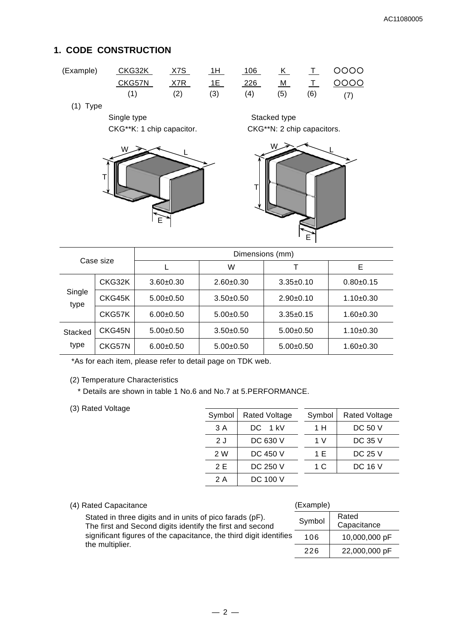### **1. CODE CONSTRUCTION**

| (Example) | CKG32K | <u>X7S</u> | 1H                                                                                                                                                                                                                                                                                                                                                                                | 106 |     |     | K T 0000 |
|-----------|--------|------------|-----------------------------------------------------------------------------------------------------------------------------------------------------------------------------------------------------------------------------------------------------------------------------------------------------------------------------------------------------------------------------------|-----|-----|-----|----------|
|           | CKG57N | X7R        | $\overline{1}$ 1 $\overline{1}$ $\overline{1}$ $\overline{1}$ $\overline{1}$ $\overline{1}$ $\overline{1}$ $\overline{1}$ $\overline{1}$ $\overline{1}$ $\overline{1}$ $\overline{1}$ $\overline{1}$ $\overline{1}$ $\overline{1}$ $\overline{1}$ $\overline{1}$ $\overline{1}$ $\overline{1}$ $\overline{1}$ $\overline{1}$ $\overline{1}$ $\overline{1}$ $\overline{1}$ $\over$ | 226 |     |     | M T 0000 |
|           |        | (2)        | (3)                                                                                                                                                                                                                                                                                                                                                                               | (4) | (5) | (6) |          |

(1) Type

Single type Single type Stacked type



CKG\*\*K: 1 chip capacitor. CKG\*\*N: 2 chip capacitors.



| Case size      |        | Dimensions (mm) |             |                 |               |  |
|----------------|--------|-----------------|-------------|-----------------|---------------|--|
|                |        |                 | W           |                 | Е             |  |
|                | CKG32K | $3.60 + 0.30$   | $2.60+0.30$ | $3.35+0.10$     | $0.80 + 0.15$ |  |
| Single<br>type | CKG45K | $5.00+0.50$     | $3.50+0.50$ | $2.90+0.10$     | $1.10+0.30$   |  |
|                | CKG57K | $6.00+0.50$     | $5.00+0.50$ | $3.35 \pm 0.15$ | $1.60 + 0.30$ |  |
| Stacked        | CKG45N | $5.00+0.50$     | $3.50+0.50$ | $5.00+0.50$     | $1.10+0.30$   |  |
| type           | CKG57N | $6.00+0.50$     | $5.00+0.50$ | $5.00+0.50$     | $1.60 + 0.30$ |  |

\*As for each item, please refer to detail page on TDK web.

(2) Temperature Characteristics

\* Details are shown in table 1 No.6 and No.7 at 5.PERFORMANCE.

(3) Rated Voltage

| Symbol | <b>Rated Voltage</b> | Symbol | <b>Rated Voltage</b> |
|--------|----------------------|--------|----------------------|
| 3 A    | DC 1 kV              | 1 H    | DC 50 V              |
| 2 J    | DC 630 V             | 1 V    | <b>DC 35 V</b>       |
| 2 W    | DC 450 V             | 1 E    | DC 25 V              |
| 2 E    | DC 250 V             | 1 C    | DC 16 V              |
| 2 A    | DC 100 V             |        |                      |

(Example)

### (4) Rated Capacitance

| Stated in three digits and in units of pico farads (pF).<br>The first and Second digits identify the first and second |     | Rated<br>Capacitance |
|-----------------------------------------------------------------------------------------------------------------------|-----|----------------------|
| significant figures of the capacitance, the third digit identifies<br>the multiplier.                                 | 106 | 10,000,000 pF        |
|                                                                                                                       | 226 | 22,000,000 pF        |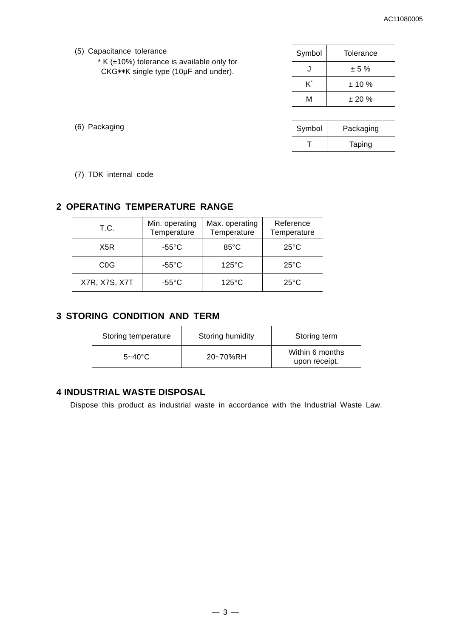| (5) Capacitance tolerance | Symbol | Tolerance |
|---------------------------|--------|-----------|
|                           |        |           |

\* K (±10%) tolerance is available only for  $CKG**K$  single type (10µF and under).

| Symbol | Tolerance |
|--------|-----------|
|        | ± 5%      |
| K*     | ± 10%     |
| м      | ± 20%     |
|        |           |

| Symbol | Packaging |  |
|--------|-----------|--|
|        | Taping    |  |

(6) Packaging

(7) TDK internal code

#### **2 OPERATING TEMPERATURE RANGE**

| T.C.             | Min. operating<br>Temperature | Max. operating<br>Temperature | Reference<br>Temperature |
|------------------|-------------------------------|-------------------------------|--------------------------|
| X5R              | $-55^{\circ}$ C               | $85^{\circ}$ C                | $25^{\circ}$ C           |
| C <sub>0</sub> G | $-55^{\circ}$ C               | $125^{\circ}$ C               | $25^{\circ}$ C           |
| X7R, X7S, X7T    | $-55^{\circ}$ C               | $125^{\circ}$ C               | $25^{\circ}$ C           |

#### **3 STORING CONDITION AND TERM**

| Storing temperature | Storing humidity | Storing term                     |
|---------------------|------------------|----------------------------------|
| $5 - 40^{\circ}$ C  | 20~70%RH         | Within 6 months<br>upon receipt. |

#### **4 INDUSTRIAL WASTE DISPOSAL**

Dispose this product as industrial waste in accordance with the Industrial Waste Law.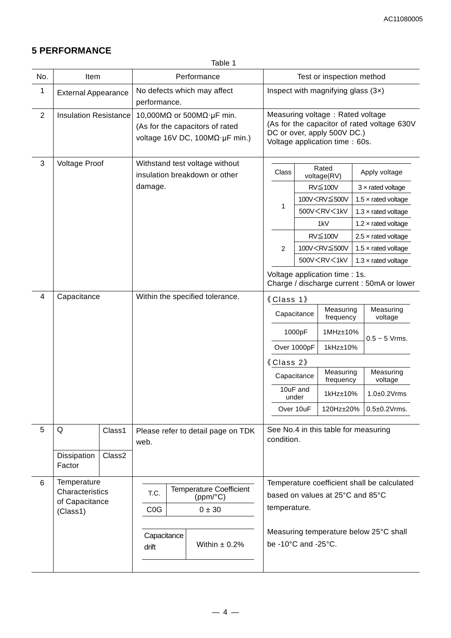# **5 PERFORMANCE**

Table 1

| No.            | Item                         |        | Performance                                                                                                                      |  |                             |             | Test or inspection method                                                                                                                        |                                      |                                                                                         |               |                                             |
|----------------|------------------------------|--------|----------------------------------------------------------------------------------------------------------------------------------|--|-----------------------------|-------------|--------------------------------------------------------------------------------------------------------------------------------------------------|--------------------------------------|-----------------------------------------------------------------------------------------|---------------|---------------------------------------------|
| $\mathbf 1$    | <b>External Appearance</b>   |        | performance.                                                                                                                     |  | No defects which may affect |             | Inspect with magnifying glass $(3x)$                                                                                                             |                                      |                                                                                         |               |                                             |
| $\overline{2}$ | <b>Insulation Resistance</b> |        | 10,000M $\Omega$ or 500M $\Omega$ · µF min.<br>(As for the capacitors of rated<br>voltage 16V DC, $100M\Omega \cdot \mu F$ min.) |  |                             |             | Measuring voltage: Rated voltage<br>(As for the capacitor of rated voltage 630V<br>DC or over, apply 500V DC.)<br>Voltage application time: 60s. |                                      |                                                                                         |               |                                             |
| 3              | <b>Voltage Proof</b>         |        | Withstand test voltage without<br>insulation breakdown or other                                                                  |  |                             |             | Rated<br>Class<br>voltage(RV)                                                                                                                    |                                      |                                                                                         | Apply voltage |                                             |
|                |                              |        | damage.                                                                                                                          |  |                             |             |                                                                                                                                                  |                                      | RV≦100V                                                                                 |               | $3 \times$ rated voltage                    |
|                |                              |        |                                                                                                                                  |  |                             |             |                                                                                                                                                  |                                      | 100V <rv≦500v< td=""><td></td><td>1.5 <math>\times</math> rated voltage</td></rv≦500v<> |               | 1.5 $\times$ rated voltage                  |
|                |                              |        |                                                                                                                                  |  |                             |             | 1                                                                                                                                                |                                      | 500V <rv<1kv< td=""><td></td><td>1.3 <math>\times</math> rated voltage</td></rv<1kv<>   |               | 1.3 $\times$ rated voltage                  |
|                |                              |        |                                                                                                                                  |  |                             |             |                                                                                                                                                  |                                      | 1kV                                                                                     |               | 1.2 $\times$ rated voltage                  |
|                |                              |        |                                                                                                                                  |  |                             |             |                                                                                                                                                  |                                      | RV≦100V                                                                                 |               | $2.5 \times$ rated voltage                  |
|                |                              |        |                                                                                                                                  |  |                             |             | 2                                                                                                                                                |                                      | 100V <rv≦500v< td=""><td></td><td>1.5 <math>\times</math> rated voltage</td></rv≦500v<> |               | 1.5 $\times$ rated voltage                  |
|                |                              |        |                                                                                                                                  |  |                             |             |                                                                                                                                                  |                                      | 500V <rv<1kv< td=""><td></td><td>1.3 <math>\times</math> rated voltage</td></rv<1kv<>   |               | 1.3 $\times$ rated voltage                  |
|                |                              |        |                                                                                                                                  |  |                             |             | Voltage application time : 1s.<br>Charge / discharge current : 50mA or lower                                                                     |                                      |                                                                                         |               |                                             |
| $\overline{4}$ | Capacitance                  |        | Within the specified tolerance.                                                                                                  |  | 《Class 1》                   |             |                                                                                                                                                  |                                      |                                                                                         |               |                                             |
|                |                              |        |                                                                                                                                  |  |                             |             |                                                                                                                                                  | Capacitance                          | Measuring<br>frequency                                                                  |               | Measuring<br>voltage                        |
|                |                              |        |                                                                                                                                  |  |                             |             | 1000pF                                                                                                                                           |                                      | 1MHz±10%                                                                                |               | $0.5 - 5$ Vrms.                             |
|                |                              |        |                                                                                                                                  |  |                             |             | 1kHz±10%<br>Over 1000pF<br>《Class 2》                                                                                                             |                                      |                                                                                         |               |                                             |
|                |                              |        |                                                                                                                                  |  |                             |             |                                                                                                                                                  |                                      |                                                                                         |               |                                             |
|                |                              |        |                                                                                                                                  |  |                             | Capacitance |                                                                                                                                                  |                                      | Measuring<br>frequency                                                                  |               | Measuring<br>voltage                        |
|                |                              |        |                                                                                                                                  |  |                             |             | 10uF and<br>under                                                                                                                                |                                      | 1kHz±10%                                                                                |               | $1.0\pm0.2$ Vrms                            |
|                |                              |        |                                                                                                                                  |  |                             |             |                                                                                                                                                  | Over 10uF                            |                                                                                         |               | 120Hz±20% 0.5±0.2Vrms.                      |
| 5              | Q                            | Class1 | Please refer to detail page on TDK<br>web.                                                                                       |  | condition.                  |             |                                                                                                                                                  | See No.4 in this table for measuring |                                                                                         |               |                                             |
|                | Dissipation<br>Factor        | Class2 |                                                                                                                                  |  |                             |             |                                                                                                                                                  |                                      |                                                                                         |               |                                             |
| 6              | Temperature                  |        |                                                                                                                                  |  |                             |             |                                                                                                                                                  |                                      |                                                                                         |               | Temperature coefficient shall be calculated |
|                | Characteristics              |        | <b>Temperature Coefficient</b><br>T.C.<br>(ppm/°C)                                                                               |  |                             |             |                                                                                                                                                  | based on values at 25°C and 85°C     |                                                                                         |               |                                             |
|                | of Capacitance<br>(Class1)   |        | C <sub>0</sub> G                                                                                                                 |  | $0 \pm 30$                  |             |                                                                                                                                                  | temperature.                         |                                                                                         |               |                                             |
|                |                              |        |                                                                                                                                  |  |                             |             |                                                                                                                                                  |                                      |                                                                                         |               |                                             |
|                |                              |        | Capacitance<br>drift                                                                                                             |  | Within $\pm$ 0.2%           |             | Measuring temperature below 25°C shall<br>be -10°C and -25°C.                                                                                    |                                      |                                                                                         |               |                                             |
|                |                              |        |                                                                                                                                  |  |                             |             |                                                                                                                                                  |                                      |                                                                                         |               |                                             |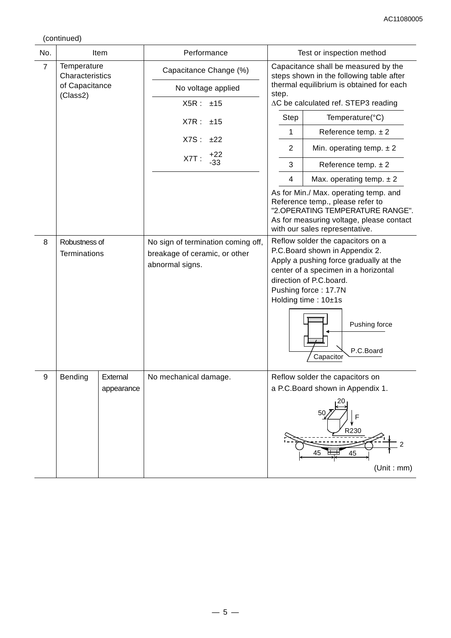(continued)

| No.            |                            | Item                   | Performance                                      | Test or inspection method                                                                                                                                                                   |                                                                                                                                                                                                             |  |  |
|----------------|----------------------------|------------------------|--------------------------------------------------|---------------------------------------------------------------------------------------------------------------------------------------------------------------------------------------------|-------------------------------------------------------------------------------------------------------------------------------------------------------------------------------------------------------------|--|--|
| $\overline{7}$ | Temperature                |                        | Capacitance Change (%)                           |                                                                                                                                                                                             | Capacitance shall be measured by the                                                                                                                                                                        |  |  |
|                | Characteristics            |                        |                                                  |                                                                                                                                                                                             | steps shown in the following table after                                                                                                                                                                    |  |  |
|                | of Capacitance<br>(Class2) |                        | No voltage applied                               | thermal equilibrium is obtained for each<br>step.                                                                                                                                           |                                                                                                                                                                                                             |  |  |
|                |                            |                        | X5R:<br>±15                                      | ∆C be calculated ref. STEP3 reading                                                                                                                                                         |                                                                                                                                                                                                             |  |  |
|                |                            |                        | X7R:<br>±15                                      | Step                                                                                                                                                                                        | Temperature(°C)                                                                                                                                                                                             |  |  |
|                |                            |                        |                                                  | 1                                                                                                                                                                                           | Reference temp. $\pm 2$                                                                                                                                                                                     |  |  |
|                |                            |                        | X7S:<br>±22<br>$+22$                             | $\overline{2}$                                                                                                                                                                              | Min. operating temp. $\pm 2$                                                                                                                                                                                |  |  |
|                |                            |                        | X7T:<br>$-33$                                    | 3                                                                                                                                                                                           | Reference temp. $\pm 2$                                                                                                                                                                                     |  |  |
|                |                            |                        |                                                  | $\overline{4}$                                                                                                                                                                              | Max. operating temp. $\pm 2$                                                                                                                                                                                |  |  |
|                |                            |                        |                                                  | As for Min./ Max. operating temp. and<br>Reference temp., please refer to<br>"2.OPERATING TEMPERATURE RANGE".<br>As for measuring voltage, please contact<br>with our sales representative. |                                                                                                                                                                                                             |  |  |
| 8              | Robustness of              |                        | No sign of termination coming off,               | Reflow solder the capacitors on a                                                                                                                                                           |                                                                                                                                                                                                             |  |  |
|                | <b>Terminations</b>        |                        | breakage of ceramic, or other<br>abnormal signs. |                                                                                                                                                                                             | P.C.Board shown in Appendix 2.<br>Apply a pushing force gradually at the<br>center of a specimen in a horizontal<br>direction of P.C.board.<br>Pushing force: 17.7N<br>Holding time: 10±1s<br>Pushing force |  |  |
|                |                            |                        |                                                  |                                                                                                                                                                                             | P.C.Board<br>Capacitor                                                                                                                                                                                      |  |  |
| 9              | Bending                    | External<br>appearance | No mechanical damage.                            |                                                                                                                                                                                             | Reflow solder the capacitors on<br>a P.C.Board shown in Appendix 1.                                                                                                                                         |  |  |
|                |                            |                        |                                                  |                                                                                                                                                                                             | 50<br>R230<br>45<br>45<br>(Unit : mm)                                                                                                                                                                       |  |  |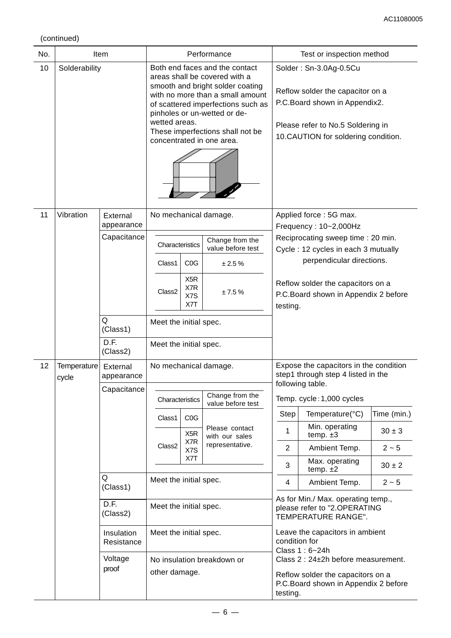(continued)

| No. | Item                 |                                       | Performance                                                                                                                                                                                                                                                                                     |                                                    |                                                                                  | Test or inspection method                                                                                                                                                |                                                                                                                                                                                                                                        |                           |  |
|-----|----------------------|---------------------------------------|-------------------------------------------------------------------------------------------------------------------------------------------------------------------------------------------------------------------------------------------------------------------------------------------------|----------------------------------------------------|----------------------------------------------------------------------------------|--------------------------------------------------------------------------------------------------------------------------------------------------------------------------|----------------------------------------------------------------------------------------------------------------------------------------------------------------------------------------------------------------------------------------|---------------------------|--|
| 10  | Solderability        |                                       | Both end faces and the contact<br>areas shall be covered with a<br>smooth and bright solder coating<br>with no more than a small amount<br>of scattered imperfections such as<br>pinholes or un-wetted or de-<br>wetted areas.<br>These imperfections shall not be<br>concentrated in one area. |                                                    |                                                                                  | Solder: Sn-3.0Ag-0.5Cu<br>Reflow solder the capacitor on a<br>P.C. Board shown in Appendix2.<br>Please refer to No.5 Soldering in<br>10.CAUTION for soldering condition. |                                                                                                                                                                                                                                        |                           |  |
| 11  | Vibration            | External<br>appearance<br>Capacitance | Characteristics<br>Class1<br>Class <sub>2</sub>                                                                                                                                                                                                                                                 | C <sub>0</sub> G<br>X <sub>5</sub> R<br>X7R<br>X7S | No mechanical damage.<br>Change from the<br>value before test<br>± 2.5%<br>±7.5% |                                                                                                                                                                          | Applied force: 5G max.<br>Frequency: 10~2,000Hz<br>Reciprocating sweep time: 20 min.<br>Cycle: 12 cycles in each 3 mutually<br>perpendicular directions.<br>Reflow solder the capacitors on a<br>P.C. Board shown in Appendix 2 before |                           |  |
|     |                      | Q<br>(Class1)<br>D.F.<br>(Class2)     | Meet the initial spec.<br>Meet the initial spec.                                                                                                                                                                                                                                                | X7T                                                |                                                                                  |                                                                                                                                                                          | testing.                                                                                                                                                                                                                               |                           |  |
| 12  | Temperature<br>cycle | External<br>appearance<br>Capacitance |                                                                                                                                                                                                                                                                                                 |                                                    | No mechanical damage.<br>Change from the                                         | Expose the capacitors in the condition<br>step1 through step 4 listed in the<br>following table.<br>Temp. cycle: 1,000 cycles                                            |                                                                                                                                                                                                                                        |                           |  |
|     |                      |                                       | Characteristics                                                                                                                                                                                                                                                                                 |                                                    | value before test                                                                |                                                                                                                                                                          |                                                                                                                                                                                                                                        |                           |  |
|     |                      |                                       | Class1                                                                                                                                                                                                                                                                                          | C <sub>0</sub> G<br>X <sub>5</sub> R               | Please contact                                                                   | Step<br>1                                                                                                                                                                | Temperature(°C)<br>Min. operating                                                                                                                                                                                                      | Time (min.)<br>$30 \pm 3$ |  |
|     |                      |                                       | Class <sub>2</sub>                                                                                                                                                                                                                                                                              | X7R                                                | with our sales<br>representative.                                                | $\overline{2}$                                                                                                                                                           | temp. $±3$<br>Ambient Temp.                                                                                                                                                                                                            | $2 - 5$                   |  |
|     |                      |                                       |                                                                                                                                                                                                                                                                                                 | X7S<br>X7T                                         |                                                                                  | 3                                                                                                                                                                        | Max. operating<br>temp. $±2$                                                                                                                                                                                                           | $30 \pm 2$                |  |
|     |                      | Q<br>(Class1)                         | Meet the initial spec.                                                                                                                                                                                                                                                                          |                                                    |                                                                                  | 4                                                                                                                                                                        | Ambient Temp.                                                                                                                                                                                                                          | $2 - 5$                   |  |
|     |                      | D.F.<br>(Class2)                      | Meet the initial spec.                                                                                                                                                                                                                                                                          |                                                    |                                                                                  | As for Min./ Max. operating temp.,<br>please refer to "2.OPERATING<br>TEMPERATURE RANGE".<br>Leave the capacitors in ambient<br>condition for<br>Class 1: 6~24h          |                                                                                                                                                                                                                                        |                           |  |
|     |                      | Insulation<br>Resistance              | Meet the initial spec.                                                                                                                                                                                                                                                                          |                                                    |                                                                                  |                                                                                                                                                                          |                                                                                                                                                                                                                                        |                           |  |
|     |                      | Voltage<br>proof                      | No insulation breakdown or<br>other damage.                                                                                                                                                                                                                                                     |                                                    |                                                                                  | Class 2 : 24±2h before measurement.<br>Reflow solder the capacitors on a<br>P.C. Board shown in Appendix 2 before<br>testing.                                            |                                                                                                                                                                                                                                        |                           |  |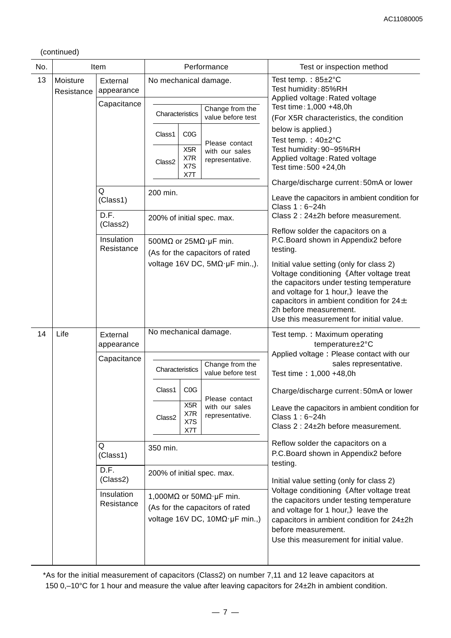#### (continued)

| No. | Item                   |                          |                                                                                           | Performance                                         | Test or inspection method                                                                                                                                                                                                                                                                    |                                                                                                                                                                                                                                           |  |
|-----|------------------------|--------------------------|-------------------------------------------------------------------------------------------|-----------------------------------------------------|----------------------------------------------------------------------------------------------------------------------------------------------------------------------------------------------------------------------------------------------------------------------------------------------|-------------------------------------------------------------------------------------------------------------------------------------------------------------------------------------------------------------------------------------------|--|
| 13  | Moisture<br>Resistance | External<br>appearance   | No mechanical damage.                                                                     |                                                     | Test temp.: $85 \pm 2^{\circ}$ C<br>Test humidity: 85%RH<br>Applied voltage: Rated voltage                                                                                                                                                                                                   |                                                                                                                                                                                                                                           |  |
|     |                        | Capacitance              | Characteristics                                                                           | Change from the<br>value before test                | Test time: 1,000 +48,0h<br>(For X5R characteristics, the condition                                                                                                                                                                                                                           |                                                                                                                                                                                                                                           |  |
|     |                        |                          | C <sub>0</sub> G<br>Class1<br>X <sub>5</sub> R<br>X7R<br>Class <sub>2</sub><br>X7S<br>X7T | Please contact<br>with our sales<br>representative. | below is applied.)<br>Test temp.: $40\pm2^{\circ}C$<br>Test humidity: 90~95%RH<br>Applied voltage: Rated voltage<br>Test time: 500 +24,0h                                                                                                                                                    |                                                                                                                                                                                                                                           |  |
|     |                        |                          |                                                                                           |                                                     | Charge/discharge current: 50mA or lower                                                                                                                                                                                                                                                      |                                                                                                                                                                                                                                           |  |
|     |                        | Q<br>(Class1)            | 200 min.                                                                                  |                                                     | Leave the capacitors in ambient condition for<br>Class 1: 6~24h                                                                                                                                                                                                                              |                                                                                                                                                                                                                                           |  |
|     |                        | D.F.<br>(Class2)         | 200% of initial spec. max.                                                                |                                                     | Class 2 : 24±2h before measurement.                                                                                                                                                                                                                                                          |                                                                                                                                                                                                                                           |  |
|     |                        | Insulation<br>Resistance | 500M $\Omega$ or 25M $\Omega$ · µF min.                                                   | (As for the capacitors of rated                     | Reflow solder the capacitors on a<br>P.C.Board shown in Appendix2 before<br>testing.                                                                                                                                                                                                         |                                                                                                                                                                                                                                           |  |
|     |                        |                          |                                                                                           | voltage 16V DC, $5M\Omega \cdot \mu F$ min.,).      | Initial value setting (only for class 2)<br>Voltage conditioning 《After voltage treat<br>the capacitors under testing temperature<br>and voltage for 1 hour, bleave the<br>capacitors in ambient condition for $24 \pm$<br>2h before measurement.<br>Use this measurement for initial value. |                                                                                                                                                                                                                                           |  |
| 14  | Life                   | External<br>appearance   | No mechanical damage.                                                                     |                                                     | Test temp.: Maximum operating<br>temperature±2°C                                                                                                                                                                                                                                             |                                                                                                                                                                                                                                           |  |
|     |                        | Capacitance              | Characteristics                                                                           | Change from the<br>value before test                | Applied voltage: Please contact with our<br>sales representative.<br>Test time: 1,000 +48,0h                                                                                                                                                                                                 |                                                                                                                                                                                                                                           |  |
|     |                        |                          | C <sub>0</sub> G<br>Class1                                                                | Please contact                                      | Charge/discharge current: 50mA or lower                                                                                                                                                                                                                                                      |                                                                                                                                                                                                                                           |  |
|     |                        |                          | X <sub>5</sub> R<br>X7R<br>Class <sub>2</sub><br>X7S<br>X7T                               | with our sales<br>representative.                   | Leave the capacitors in ambient condition for<br>Class 1: 6~24h<br>Class 2 : 24±2h before measurement.                                                                                                                                                                                       |                                                                                                                                                                                                                                           |  |
|     |                        | Q<br>(Class1)            | 350 min.                                                                                  |                                                     | Reflow solder the capacitors on a<br>P.C.Board shown in Appendix2 before<br>testing.                                                                                                                                                                                                         |                                                                                                                                                                                                                                           |  |
|     |                        | D.F.<br>(Class2)         | 200% of initial spec. max.                                                                |                                                     | Initial value setting (only for class 2)                                                                                                                                                                                                                                                     |                                                                                                                                                                                                                                           |  |
|     |                        | Insulation<br>Resistance |                                                                                           | 1,000M $\Omega$ or 50M $\Omega$ ·µF min.            | (As for the capacitors of rated<br>voltage 16V DC, $10M\Omega \cdot \mu F$ min.,)                                                                                                                                                                                                            | Voltage conditioning 《After voltage treat<br>the capacitors under testing temperature<br>and voltage for 1 hour, leave the<br>capacitors in ambient condition for 24±2h<br>before measurement.<br>Use this measurement for initial value. |  |

\*As for the initial measurement of capacitors (Class2) on number 7,11 and 12 leave capacitors at 150 0,–10°C for 1 hour and measure the value after leaving capacitors for 24±2h in ambient condition.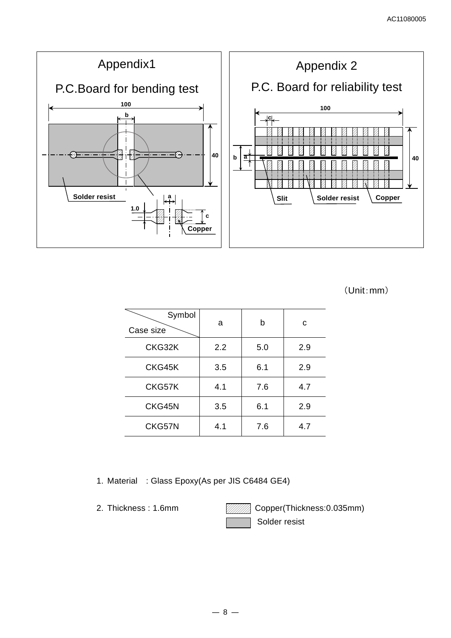

(Unit:mm)

| Symbol<br>Case size | a   | b   | с   |
|---------------------|-----|-----|-----|
| CKG32K              | 2.2 | 5.0 | 2.9 |
| CKG45K              | 3.5 | 6.1 | 2.9 |
| CKG57K              | 4.1 | 7.6 | 4.7 |
| CKG45N              | 3.5 | 6.1 | 2.9 |
| CKG57N              | 4.1 | 7.6 | 4.7 |

1. Material : Glass Epoxy(As per JIS C6484 GE4)

2. Thickness: 1.6mm **Copper(Thickness: 0.035mm)** Solder resist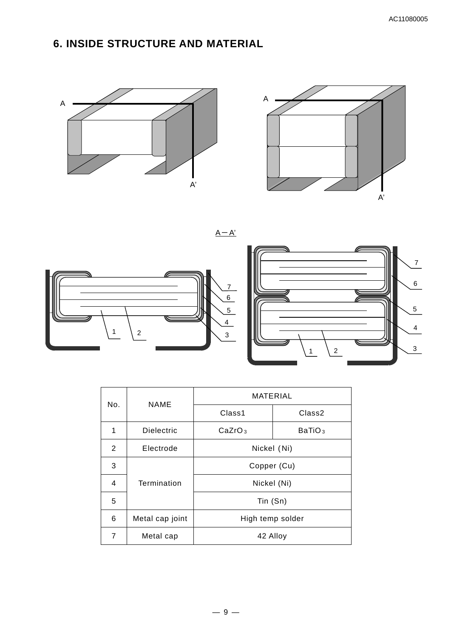# **6. INSIDE STRUCTURE AND MATERIAL**





 $A - A'$ 





| No. | <b>NAME</b>       | MATERIAL           |                    |  |  |  |
|-----|-------------------|--------------------|--------------------|--|--|--|
|     |                   | Class1             | Class <sub>2</sub> |  |  |  |
| 1   | <b>Dielectric</b> | CaZrO <sub>3</sub> | BaTiO <sub>3</sub> |  |  |  |
| 2   | Electrode         | Nickel (Ni)        |                    |  |  |  |
| 3   |                   | Copper (Cu)        |                    |  |  |  |
| 4   | Termination       | Nickel (Ni)        |                    |  |  |  |
| 5   |                   | Tin (Sn)           |                    |  |  |  |
| 6   | Metal cap joint   | High temp solder   |                    |  |  |  |
| 7   | Metal cap         | 42 Alloy           |                    |  |  |  |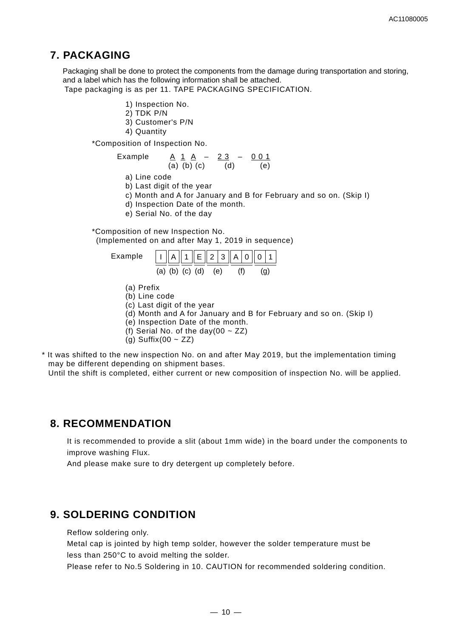### **7. PACKAGING**

Packaging shall be done to protect the components from the damage during transportation and storing, and a label which has the following information shall be attached.

Tape packaging is as per 11. TAPE PACKAGING SPECIFICATION.

- 1) Inspection No.
- 2) TDK P/N
- 3) Customer's P/N
- 4) Quantity

\*Composition of Inspection No.

Example A 1 A – 2 3 – 0 0 1 (a) (b) (c) (d) (e)

a) Line code

b) Last digit of the year

c) Month and A for January and B for February and so on. (Skip I)

d) Inspection Date of the month.

e) Serial No. of the day

\*Composition of new Inspection No. (Implemented on and after May 1, 2019 in sequence)



(a) Prefix

- (b) Line code
- (c) Last digit of the year
- (d) Month and A for January and B for February and so on. (Skip I)
- (e) Inspection Date of the month.
- (f) Serial No. of the day(00  $\sim$  ZZ)
- (g) Suffix(00  $\sim$  ZZ)
- \* It was shifted to the new inspection No. on and after May 2019, but the implementation timing may be different depending on shipment bases.

Until the shift is completed, either current or new composition of inspection No. will be applied.

### **8. RECOMMENDATION**

It is recommended to provide a slit (about 1mm wide) in the board under the components to improve washing Flux.

And please make sure to dry detergent up completely before.

# **9. SOLDERING CONDITION**

Reflow soldering only.

Metal cap is jointed by high temp solder, however the solder temperature must be less than 250°C to avoid melting the solder.

Please refer to No.5 Soldering in 10. CAUTION for recommended soldering condition.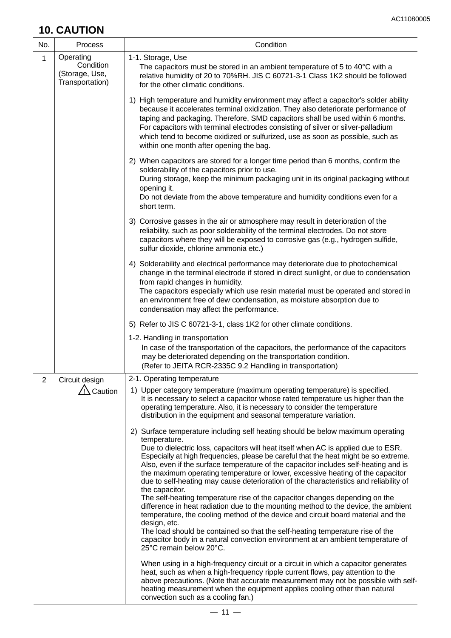# **10. CAUTION**

| No.            | Process                                                     | Condition                                                                                                                                                                                                                                                                                                                                                                                                                                                                                                                                                                                                                                                                                                                                                                                                                                                                                                                                                                                                                                                                                                                       |
|----------------|-------------------------------------------------------------|---------------------------------------------------------------------------------------------------------------------------------------------------------------------------------------------------------------------------------------------------------------------------------------------------------------------------------------------------------------------------------------------------------------------------------------------------------------------------------------------------------------------------------------------------------------------------------------------------------------------------------------------------------------------------------------------------------------------------------------------------------------------------------------------------------------------------------------------------------------------------------------------------------------------------------------------------------------------------------------------------------------------------------------------------------------------------------------------------------------------------------|
| $\mathbf 1$    | Operating<br>Condition<br>(Storage, Use,<br>Transportation) | 1-1. Storage, Use<br>The capacitors must be stored in an ambient temperature of 5 to 40°C with a<br>relative humidity of 20 to 70%RH. JIS C 60721-3-1 Class 1K2 should be followed<br>for the other climatic conditions.                                                                                                                                                                                                                                                                                                                                                                                                                                                                                                                                                                                                                                                                                                                                                                                                                                                                                                        |
|                |                                                             | 1) High temperature and humidity environment may affect a capacitor's solder ability<br>because it accelerates terminal oxidization. They also deteriorate performance of<br>taping and packaging. Therefore, SMD capacitors shall be used within 6 months.<br>For capacitors with terminal electrodes consisting of silver or silver-palladium<br>which tend to become oxidized or sulfurized, use as soon as possible, such as<br>within one month after opening the bag.                                                                                                                                                                                                                                                                                                                                                                                                                                                                                                                                                                                                                                                     |
|                |                                                             | 2) When capacitors are stored for a longer time period than 6 months, confirm the<br>solderability of the capacitors prior to use.<br>During storage, keep the minimum packaging unit in its original packaging without<br>opening it.<br>Do not deviate from the above temperature and humidity conditions even for a<br>short term.                                                                                                                                                                                                                                                                                                                                                                                                                                                                                                                                                                                                                                                                                                                                                                                           |
|                |                                                             | 3) Corrosive gasses in the air or atmosphere may result in deterioration of the<br>reliability, such as poor solderability of the terminal electrodes. Do not store<br>capacitors where they will be exposed to corrosive gas (e.g., hydrogen sulfide,<br>sulfur dioxide, chlorine ammonia etc.)                                                                                                                                                                                                                                                                                                                                                                                                                                                                                                                                                                                                                                                                                                                                                                                                                                |
|                |                                                             | 4) Solderability and electrical performance may deteriorate due to photochemical<br>change in the terminal electrode if stored in direct sunlight, or due to condensation<br>from rapid changes in humidity.<br>The capacitors especially which use resin material must be operated and stored in<br>an environment free of dew condensation, as moisture absorption due to<br>condensation may affect the performance.                                                                                                                                                                                                                                                                                                                                                                                                                                                                                                                                                                                                                                                                                                         |
|                |                                                             | 5) Refer to JIS C 60721-3-1, class 1K2 for other climate conditions.                                                                                                                                                                                                                                                                                                                                                                                                                                                                                                                                                                                                                                                                                                                                                                                                                                                                                                                                                                                                                                                            |
|                |                                                             | 1-2. Handling in transportation<br>In case of the transportation of the capacitors, the performance of the capacitors<br>may be deteriorated depending on the transportation condition.<br>(Refer to JEITA RCR-2335C 9.2 Handling in transportation)                                                                                                                                                                                                                                                                                                                                                                                                                                                                                                                                                                                                                                                                                                                                                                                                                                                                            |
| $\overline{2}$ | Circuit design                                              | 2-1. Operating temperature                                                                                                                                                                                                                                                                                                                                                                                                                                                                                                                                                                                                                                                                                                                                                                                                                                                                                                                                                                                                                                                                                                      |
|                | ∧ Caution                                                   | 1) Upper category temperature (maximum operating temperature) is specified.<br>It is necessary to select a capacitor whose rated temperature us higher than the<br>operating temperature. Also, it is necessary to consider the temperature<br>distribution in the equipment and seasonal temperature variation.                                                                                                                                                                                                                                                                                                                                                                                                                                                                                                                                                                                                                                                                                                                                                                                                                |
|                |                                                             | 2) Surface temperature including self heating should be below maximum operating<br>temperature.<br>Due to dielectric loss, capacitors will heat itself when AC is applied due to ESR.<br>Especially at high frequencies, please be careful that the heat might be so extreme.<br>Also, even if the surface temperature of the capacitor includes self-heating and is<br>the maximum operating temperature or lower, excessive heating of the capacitor<br>due to self-heating may cause deterioration of the characteristics and reliability of<br>the capacitor.<br>The self-heating temperature rise of the capacitor changes depending on the<br>difference in heat radiation due to the mounting method to the device, the ambient<br>temperature, the cooling method of the device and circuit board material and the<br>design, etc.<br>The load should be contained so that the self-heating temperature rise of the<br>capacitor body in a natural convection environment at an ambient temperature of<br>25°C remain below 20°C.<br>When using in a high-frequency circuit or a circuit in which a capacitor generates |
|                |                                                             | heat, such as when a high-frequency ripple current flows, pay attention to the<br>above precautions. (Note that accurate measurement may not be possible with self-<br>heating measurement when the equipment applies cooling other than natural<br>convection such as a cooling fan.)                                                                                                                                                                                                                                                                                                                                                                                                                                                                                                                                                                                                                                                                                                                                                                                                                                          |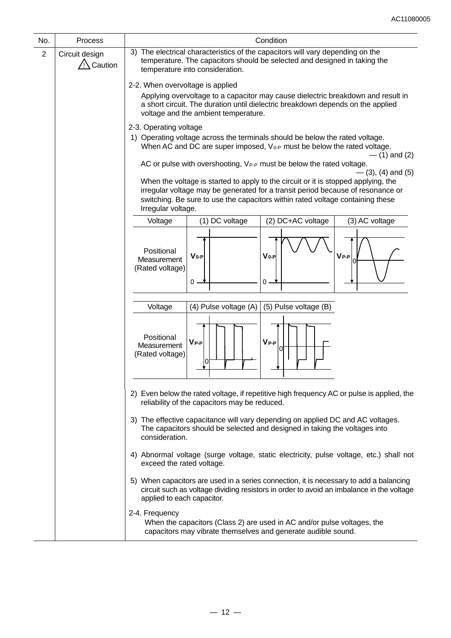| No.            | Process                   | Condition                                                                                                                                                                                                                                                                     |  |  |  |  |  |  |
|----------------|---------------------------|-------------------------------------------------------------------------------------------------------------------------------------------------------------------------------------------------------------------------------------------------------------------------------|--|--|--|--|--|--|
| $\overline{2}$ | Circuit design<br>Caution | 3) The electrical characteristics of the capacitors will vary depending on the<br>temperature. The capacitors should be selected and designed in taking the<br>temperature into consideration.                                                                                |  |  |  |  |  |  |
|                |                           | 2-2. When overvoltage is applied                                                                                                                                                                                                                                              |  |  |  |  |  |  |
|                |                           | Applying overvoltage to a capacitor may cause dielectric breakdown and result in<br>a short circuit. The duration until dielectric breakdown depends on the applied<br>voltage and the ambient temperature.                                                                   |  |  |  |  |  |  |
|                |                           | 2-3. Operating voltage<br>1) Operating voltage across the terminals should be below the rated voltage.<br>When AC and DC are super imposed, $V_{0-P}$ must be below the rated voltage.<br>$-$ (1) and (2)                                                                     |  |  |  |  |  |  |
|                |                           | AC or pulse with overshooting, V <sub>P-P</sub> must be below the rated voltage.<br>$-$ (3), (4) and (5)                                                                                                                                                                      |  |  |  |  |  |  |
|                |                           | When the voltage is started to apply to the circuit or it is stopped applying, the<br>irregular voltage may be generated for a transit period because of resonance or<br>switching. Be sure to use the capacitors within rated voltage containing these<br>Irregular voltage. |  |  |  |  |  |  |
|                |                           | (2) DC+AC voltage<br>(1) DC voltage<br>(3) AC voltage<br>Voltage                                                                                                                                                                                                              |  |  |  |  |  |  |
|                |                           | Positional<br>$V_{0-P}$<br>$V_0-P$<br>$\mathsf{V}_{\mathsf{P-P}}$<br>Measurement<br>(Rated voltage)<br>0<br>0                                                                                                                                                                 |  |  |  |  |  |  |
|                |                           | (4) Pulse voltage (A)<br>Voltage<br>(5) Pulse voltage (B)                                                                                                                                                                                                                     |  |  |  |  |  |  |
|                |                           | Positional<br>$V_{P-P}$<br>$V_{P-P}$<br>Measurement<br>0<br>(Rated voltage)<br>ΙO                                                                                                                                                                                             |  |  |  |  |  |  |
|                |                           | 2) Even below the rated voltage, if repetitive high frequency AC or pulse is applied, the<br>reliability of the capacitors may be reduced.                                                                                                                                    |  |  |  |  |  |  |
|                |                           | 3) The effective capacitance will vary depending on applied DC and AC voltages.<br>The capacitors should be selected and designed in taking the voltages into<br>consideration.                                                                                               |  |  |  |  |  |  |
|                |                           | 4) Abnormal voltage (surge voltage, static electricity, pulse voltage, etc.) shall not<br>exceed the rated voltage.                                                                                                                                                           |  |  |  |  |  |  |
|                |                           | 5) When capacitors are used in a series connection, it is necessary to add a balancing<br>circuit such as voltage dividing resistors in order to avoid an imbalance in the voltage<br>applied to each capacitor.                                                              |  |  |  |  |  |  |
|                |                           | 2-4. Frequency<br>When the capacitors (Class 2) are used in AC and/or pulse voltages, the<br>capacitors may vibrate themselves and generate audible sound.                                                                                                                    |  |  |  |  |  |  |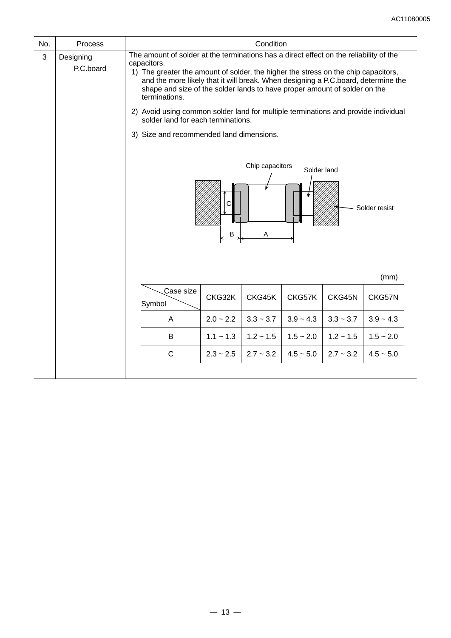| No. | Process                |                                                                                                                                                                                                                                                                                                                                                                                                                                                                                                                                                                                                                     |             |                |             |                | Condition   |  |  |  |  |  |  |
|-----|------------------------|---------------------------------------------------------------------------------------------------------------------------------------------------------------------------------------------------------------------------------------------------------------------------------------------------------------------------------------------------------------------------------------------------------------------------------------------------------------------------------------------------------------------------------------------------------------------------------------------------------------------|-------------|----------------|-------------|----------------|-------------|--|--|--|--|--|--|
| 3   | Designing<br>P.C.board | The amount of solder at the terminations has a direct effect on the reliability of the<br>capacitors.<br>1) The greater the amount of solder, the higher the stress on the chip capacitors,<br>and the more likely that it will break. When designing a P.C.board, determine the<br>shape and size of the solder lands to have proper amount of solder on the<br>terminations.<br>2) Avoid using common solder land for multiple terminations and provide individual<br>solder land for each terminations.<br>3) Size and recommended land dimensions.<br>Chip capacitors<br>Solder land<br>Solder resist<br>В<br>Α |             |                |             |                |             |  |  |  |  |  |  |
|     |                        |                                                                                                                                                                                                                                                                                                                                                                                                                                                                                                                                                                                                                     |             |                |             |                | (mm)        |  |  |  |  |  |  |
|     |                        | Case size<br>Symbol                                                                                                                                                                                                                                                                                                                                                                                                                                                                                                                                                                                                 | CKG32K      | CKG45K         | CKG57K      | CKG45N         | CKG57N      |  |  |  |  |  |  |
|     |                        | A                                                                                                                                                                                                                                                                                                                                                                                                                                                                                                                                                                                                                   | $2.0 - 2.2$ | $3.3 - 3.7$    | $3.9 - 4.3$ | $3.3 - 3.7$    | $3.9 - 4.3$ |  |  |  |  |  |  |
|     |                        | B                                                                                                                                                                                                                                                                                                                                                                                                                                                                                                                                                                                                                   | $1.1 - 1.3$ | $1.2 \sim 1.5$ | $1.5 - 2.0$ | $1.2 \sim 1.5$ | $1.5 - 2.0$ |  |  |  |  |  |  |
|     |                        | C                                                                                                                                                                                                                                                                                                                                                                                                                                                                                                                                                                                                                   | $2.3 - 2.5$ | $2.7 - 3.2$    | $4.5 - 5.0$ | $2.7 - 3.2$    | $4.5 - 5.0$ |  |  |  |  |  |  |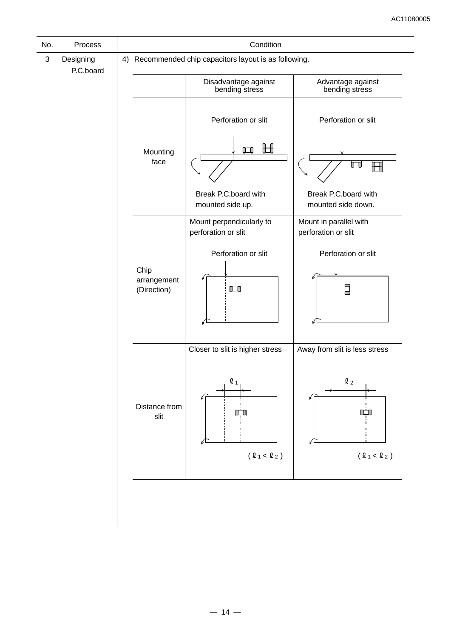| No.        | Process                |                                    | Condition                                                                          |                                                                          |  |  |  |  |
|------------|------------------------|------------------------------------|------------------------------------------------------------------------------------|--------------------------------------------------------------------------|--|--|--|--|
| $\sqrt{3}$ | Designing<br>P.C.board |                                    | 4) Recommended chip capacitors layout is as following.                             |                                                                          |  |  |  |  |
|            |                        |                                    | Disadvantage against<br>bending stress                                             | Advantage against<br>bending stress                                      |  |  |  |  |
|            |                        |                                    | Perforation or slit                                                                | Perforation or slit                                                      |  |  |  |  |
|            |                        | Mounting<br>face                   | H<br>M                                                                             | $\Box$                                                                   |  |  |  |  |
|            |                        |                                    | Break P.C.board with<br>mounted side up.                                           | Break P.C.board with<br>mounted side down.                               |  |  |  |  |
|            |                        |                                    | Mount perpendicularly to<br>perforation or slit                                    | Mount in parallel with<br>perforation or slit                            |  |  |  |  |
|            |                        | Chip<br>arrangement<br>(Direction) | Perforation or slit<br>$\Box$                                                      | Perforation or slit<br>E                                                 |  |  |  |  |
|            |                        | Distance from<br>slit              | Closer to slit is higher stress<br>$\mathbf{\ell}$ 1<br>H I<br>$(\ell_1 < \ell_2)$ | Away from slit is less stress<br>$\ell_2$<br>l El<br>$(\ell_1 < \ell_2)$ |  |  |  |  |
|            |                        |                                    |                                                                                    |                                                                          |  |  |  |  |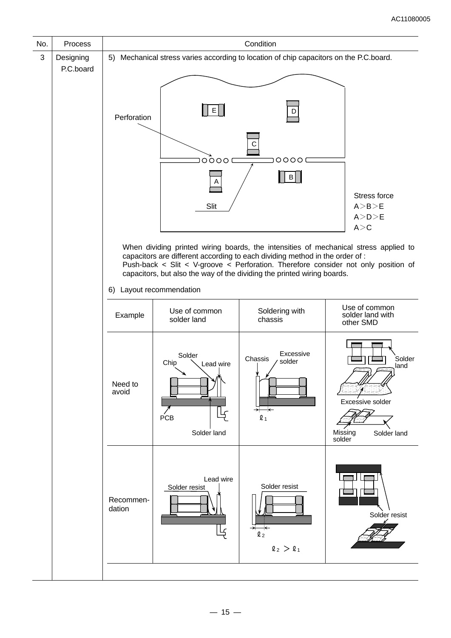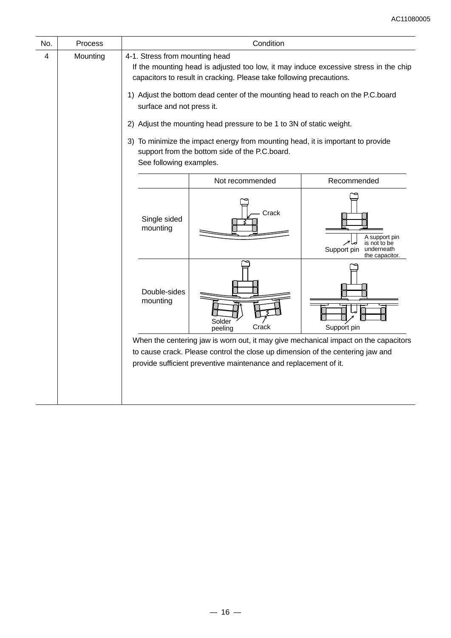| No. | Process                                                                        | Condition                                                                                                                                                                                      |                                                                      |                                                                                     |  |  |  |  |
|-----|--------------------------------------------------------------------------------|------------------------------------------------------------------------------------------------------------------------------------------------------------------------------------------------|----------------------------------------------------------------------|-------------------------------------------------------------------------------------|--|--|--|--|
| 4   | Mounting                                                                       | 4-1. Stress from mounting head<br>If the mounting head is adjusted too low, it may induce excessive stress in the chip<br>capacitors to result in cracking. Please take following precautions. |                                                                      |                                                                                     |  |  |  |  |
|     |                                                                                | 1) Adjust the bottom dead center of the mounting head to reach on the P.C.board<br>surface and not press it.                                                                                   |                                                                      |                                                                                     |  |  |  |  |
|     |                                                                                |                                                                                                                                                                                                | 2) Adjust the mounting head pressure to be 1 to 3N of static weight. |                                                                                     |  |  |  |  |
|     |                                                                                | 3) To minimize the impact energy from mounting head, it is important to provide<br>support from the bottom side of the P.C.board.<br>See following examples.                                   |                                                                      |                                                                                     |  |  |  |  |
|     |                                                                                |                                                                                                                                                                                                | Not recommended                                                      | Recommended                                                                         |  |  |  |  |
|     |                                                                                | Single sided<br>mounting                                                                                                                                                                       | Crack                                                                | A support pin<br>is not to be<br>Support pin<br>underneath<br>the capacitor.        |  |  |  |  |
|     |                                                                                | Double-sides<br>mounting                                                                                                                                                                       | Solder<br>Crack<br>peeling                                           | Support pin                                                                         |  |  |  |  |
|     |                                                                                |                                                                                                                                                                                                |                                                                      | When the centering jaw is worn out, it may give mechanical impact on the capacitors |  |  |  |  |
|     | to cause crack. Please control the close up dimension of the centering jaw and |                                                                                                                                                                                                |                                                                      |                                                                                     |  |  |  |  |
|     |                                                                                |                                                                                                                                                                                                | provide sufficient preventive maintenance and replacement of it.     |                                                                                     |  |  |  |  |
|     |                                                                                |                                                                                                                                                                                                |                                                                      |                                                                                     |  |  |  |  |
|     |                                                                                |                                                                                                                                                                                                |                                                                      |                                                                                     |  |  |  |  |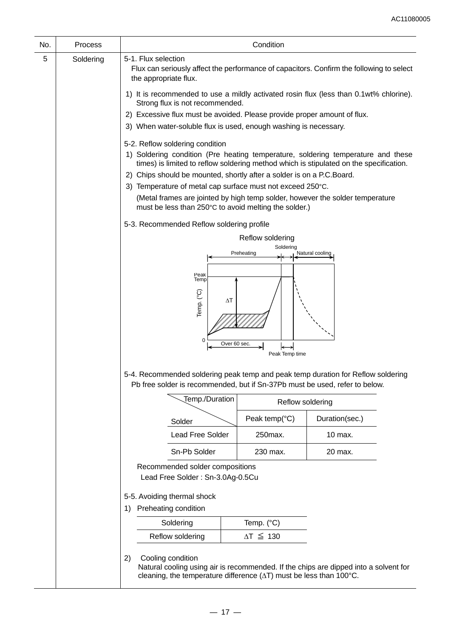| No. | Process   | Condition                                                                                                                 |                                                                                       |                                                                                                                                                                            |  |  |  |  |
|-----|-----------|---------------------------------------------------------------------------------------------------------------------------|---------------------------------------------------------------------------------------|----------------------------------------------------------------------------------------------------------------------------------------------------------------------------|--|--|--|--|
| 5   | Soldering | 5-1. Flux selection<br>the appropriate flux.                                                                              |                                                                                       | Flux can seriously affect the performance of capacitors. Confirm the following to select                                                                                   |  |  |  |  |
|     |           | 1) It is recommended to use a mildly activated rosin flux (less than 0.1wt% chlorine).<br>Strong flux is not recommended. |                                                                                       |                                                                                                                                                                            |  |  |  |  |
|     |           | 2) Excessive flux must be avoided. Please provide proper amount of flux.                                                  |                                                                                       |                                                                                                                                                                            |  |  |  |  |
|     |           | 3) When water-soluble flux is used, enough washing is necessary.                                                          |                                                                                       |                                                                                                                                                                            |  |  |  |  |
|     |           | 5-2. Reflow soldering condition                                                                                           |                                                                                       | 1) Soldering condition (Pre heating temperature, soldering temperature and these<br>times) is limited to reflow soldering method which is stipulated on the specification. |  |  |  |  |
|     |           | 2) Chips should be mounted, shortly after a solder is on a P.C.Board.                                                     |                                                                                       |                                                                                                                                                                            |  |  |  |  |
|     |           | 3) Temperature of metal cap surface must not exceed 250°C.                                                                |                                                                                       |                                                                                                                                                                            |  |  |  |  |
|     |           | must be less than 250°C to avoid melting the solder.)                                                                     |                                                                                       | (Metal frames are jointed by high temp solder, however the solder temperature                                                                                              |  |  |  |  |
|     |           | 5-3. Recommended Reflow soldering profile                                                                                 |                                                                                       |                                                                                                                                                                            |  |  |  |  |
|     |           |                                                                                                                           | Reflow soldering                                                                      |                                                                                                                                                                            |  |  |  |  |
|     |           |                                                                                                                           | Soldering<br>Preheating                                                               | Natural cooling                                                                                                                                                            |  |  |  |  |
|     |           | $\Delta T$<br>Over 60 sec.<br>Peak Temp time                                                                              |                                                                                       |                                                                                                                                                                            |  |  |  |  |
|     |           | Pb free solder is recommended, but if Sn-37Pb must be used, refer to below.                                               |                                                                                       | 5-4. Recommended soldering peak temp and peak temp duration for Reflow soldering                                                                                           |  |  |  |  |
|     |           | Temp./Duration                                                                                                            | Reflow soldering                                                                      |                                                                                                                                                                            |  |  |  |  |
|     |           | Solder                                                                                                                    | Peak temp( $°C$ )                                                                     | Duration(sec.)                                                                                                                                                             |  |  |  |  |
|     |           | <b>Lead Free Solder</b>                                                                                                   | 250max.                                                                               | 10 max.                                                                                                                                                                    |  |  |  |  |
|     |           | Sn-Pb Solder                                                                                                              | 230 max.                                                                              | 20 max.                                                                                                                                                                    |  |  |  |  |
|     |           | Recommended solder compositions<br>Lead Free Solder: Sn-3.0Ag-0.5Cu                                                       |                                                                                       |                                                                                                                                                                            |  |  |  |  |
|     |           | 5-5. Avoiding thermal shock<br>Preheating condition<br>1)                                                                 |                                                                                       |                                                                                                                                                                            |  |  |  |  |
|     |           | Soldering                                                                                                                 | Temp. (°C)                                                                            |                                                                                                                                                                            |  |  |  |  |
|     |           | Reflow soldering                                                                                                          | $\Delta T \leq 130$                                                                   |                                                                                                                                                                            |  |  |  |  |
|     |           | Cooling condition<br>2)                                                                                                   | cleaning, the temperature difference $(\Delta T)$ must be less than 100 $^{\circ}$ C. | Natural cooling using air is recommended. If the chips are dipped into a solvent for                                                                                       |  |  |  |  |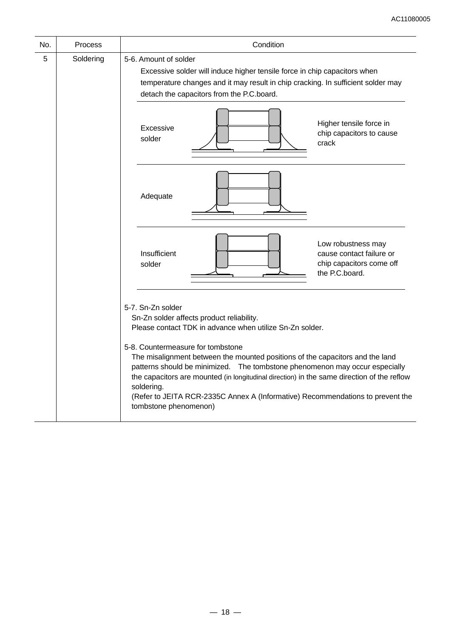| No. | <b>Process</b> | Condition                                                                                                                                                                                                                                                                                                                                                                                                                      |  |  |  |  |
|-----|----------------|--------------------------------------------------------------------------------------------------------------------------------------------------------------------------------------------------------------------------------------------------------------------------------------------------------------------------------------------------------------------------------------------------------------------------------|--|--|--|--|
| 5   | Soldering      | 5-6. Amount of solder<br>Excessive solder will induce higher tensile force in chip capacitors when<br>temperature changes and it may result in chip cracking. In sufficient solder may<br>detach the capacitors from the P.C.board.                                                                                                                                                                                            |  |  |  |  |
|     |                | Higher tensile force in<br>Excessive<br>chip capacitors to cause<br>solder<br>crack                                                                                                                                                                                                                                                                                                                                            |  |  |  |  |
|     |                | Adequate                                                                                                                                                                                                                                                                                                                                                                                                                       |  |  |  |  |
|     |                | Low robustness may<br>Insufficient<br>cause contact failure or<br>chip capacitors come off<br>solder<br>the P.C.board.                                                                                                                                                                                                                                                                                                         |  |  |  |  |
|     |                | 5-7. Sn-Zn solder<br>Sn-Zn solder affects product reliability.<br>Please contact TDK in advance when utilize Sn-Zn solder.<br>5-8. Countermeasure for tombstone<br>The misalignment between the mounted positions of the capacitors and the land<br>patterns should be minimized.  The tombstone phenomenon may occur especially<br>the capacitors are mounted (in longitudinal direction) in the same direction of the reflow |  |  |  |  |
|     |                | soldering.<br>(Refer to JEITA RCR-2335C Annex A (Informative) Recommendations to prevent the<br>tombstone phenomenon)                                                                                                                                                                                                                                                                                                          |  |  |  |  |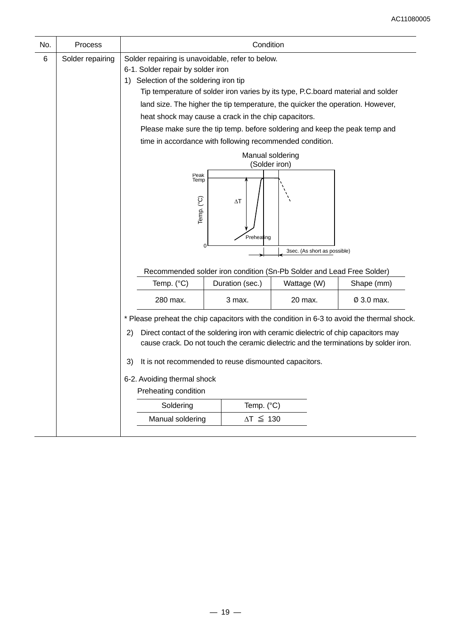| No. | Process          |                                                                                       | Condition                                                                                                                                                                                                                                                                  |                                                                            |            |  |  |  |  |
|-----|------------------|---------------------------------------------------------------------------------------|----------------------------------------------------------------------------------------------------------------------------------------------------------------------------------------------------------------------------------------------------------------------------|----------------------------------------------------------------------------|------------|--|--|--|--|
| 6   | Solder repairing | Solder repairing is unavoidable, refer to below.<br>6-1. Solder repair by solder iron |                                                                                                                                                                                                                                                                            |                                                                            |            |  |  |  |  |
|     |                  | Selection of the soldering iron tip<br>1)                                             |                                                                                                                                                                                                                                                                            |                                                                            |            |  |  |  |  |
|     |                  |                                                                                       | Tip temperature of solder iron varies by its type, P.C.board material and solder                                                                                                                                                                                           |                                                                            |            |  |  |  |  |
|     |                  | land size. The higher the tip temperature, the quicker the operation. However,        |                                                                                                                                                                                                                                                                            |                                                                            |            |  |  |  |  |
|     |                  |                                                                                       | heat shock may cause a crack in the chip capacitors.                                                                                                                                                                                                                       |                                                                            |            |  |  |  |  |
|     |                  |                                                                                       |                                                                                                                                                                                                                                                                            | Please make sure the tip temp. before soldering and keep the peak temp and |            |  |  |  |  |
|     |                  |                                                                                       | time in accordance with following recommended condition.                                                                                                                                                                                                                   |                                                                            |            |  |  |  |  |
|     |                  |                                                                                       | Manual soldering<br>(Solder iron)                                                                                                                                                                                                                                          |                                                                            |            |  |  |  |  |
|     |                  | Temp. (°C)                                                                            | Peak<br>Temp<br>$\Delta\mathsf{T}$<br>Preheating<br>0<br>3sec. (As short as possible)<br>Recommended solder iron condition (Sn-Pb Solder and Lead Free Solder)                                                                                                             |                                                                            |            |  |  |  |  |
|     |                  | Temp. (°C)                                                                            | Duration (sec.)                                                                                                                                                                                                                                                            | Wattage (W)                                                                | Shape (mm) |  |  |  |  |
|     |                  | 280 max.                                                                              | 3 max.                                                                                                                                                                                                                                                                     | 20 max.                                                                    | Ø 3.0 max. |  |  |  |  |
|     |                  | 2)                                                                                    | * Please preheat the chip capacitors with the condition in 6-3 to avoid the thermal shock.<br>Direct contact of the soldering iron with ceramic dielectric of chip capacitors may<br>cause crack. Do not touch the ceramic dielectric and the terminations by solder iron. |                                                                            |            |  |  |  |  |
|     |                  | It is not recommended to reuse dismounted capacitors.<br>3)                           |                                                                                                                                                                                                                                                                            |                                                                            |            |  |  |  |  |
|     |                  | 6-2. Avoiding thermal shock<br>Preheating condition                                   |                                                                                                                                                                                                                                                                            |                                                                            |            |  |  |  |  |
|     |                  | Soldering                                                                             | Temp. (°C)                                                                                                                                                                                                                                                                 |                                                                            |            |  |  |  |  |
|     |                  | Manual soldering                                                                      | $\Delta T \leq 130$                                                                                                                                                                                                                                                        |                                                                            |            |  |  |  |  |
|     |                  |                                                                                       |                                                                                                                                                                                                                                                                            |                                                                            |            |  |  |  |  |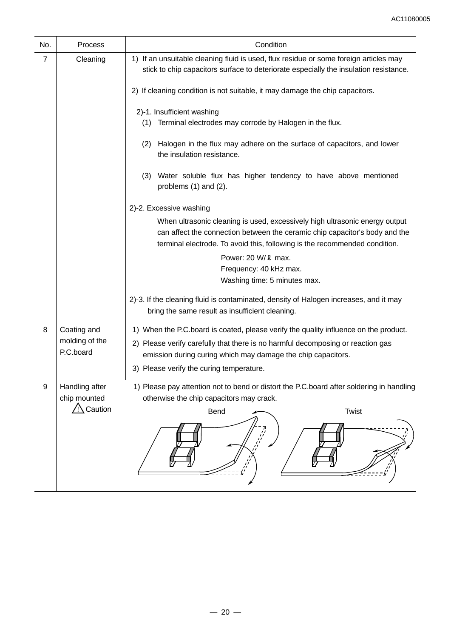| No.            | Process                                   | Condition                                                                                                                                                                                                                                |  |  |  |  |  |  |
|----------------|-------------------------------------------|------------------------------------------------------------------------------------------------------------------------------------------------------------------------------------------------------------------------------------------|--|--|--|--|--|--|
| $\overline{7}$ | Cleaning                                  | 1) If an unsuitable cleaning fluid is used, flux residue or some foreign articles may<br>stick to chip capacitors surface to deteriorate especially the insulation resistance.                                                           |  |  |  |  |  |  |
|                |                                           | 2) If cleaning condition is not suitable, it may damage the chip capacitors.                                                                                                                                                             |  |  |  |  |  |  |
|                |                                           | 2)-1. Insufficient washing<br>(1) Terminal electrodes may corrode by Halogen in the flux.                                                                                                                                                |  |  |  |  |  |  |
|                |                                           | Halogen in the flux may adhere on the surface of capacitors, and lower<br>(2)<br>the insulation resistance.                                                                                                                              |  |  |  |  |  |  |
|                |                                           | (3) Water soluble flux has higher tendency to have above mentioned<br>problems (1) and (2).                                                                                                                                              |  |  |  |  |  |  |
|                |                                           | 2)-2. Excessive washing                                                                                                                                                                                                                  |  |  |  |  |  |  |
|                |                                           | When ultrasonic cleaning is used, excessively high ultrasonic energy output<br>can affect the connection between the ceramic chip capacitor's body and the<br>terminal electrode. To avoid this, following is the recommended condition. |  |  |  |  |  |  |
|                |                                           | Power: 20 W/ 2 max.                                                                                                                                                                                                                      |  |  |  |  |  |  |
|                |                                           | Frequency: 40 kHz max.<br>Washing time: 5 minutes max.                                                                                                                                                                                   |  |  |  |  |  |  |
|                |                                           |                                                                                                                                                                                                                                          |  |  |  |  |  |  |
|                |                                           | 2)-3. If the cleaning fluid is contaminated, density of Halogen increases, and it may<br>bring the same result as insufficient cleaning.                                                                                                 |  |  |  |  |  |  |
| 8              | Coating and                               | 1) When the P.C.board is coated, please verify the quality influence on the product.                                                                                                                                                     |  |  |  |  |  |  |
|                | molding of the<br>P.C.board               | 2) Please verify carefully that there is no harmful decomposing or reaction gas<br>emission during curing which may damage the chip capacitors.                                                                                          |  |  |  |  |  |  |
|                |                                           | 3) Please verify the curing temperature.                                                                                                                                                                                                 |  |  |  |  |  |  |
| 9              | Handling after<br>chip mounted<br>Caution | 1) Please pay attention not to bend or distort the P.C.board after soldering in handling<br>otherwise the chip capacitors may crack.<br>Twist<br><b>Bend</b>                                                                             |  |  |  |  |  |  |
|                |                                           |                                                                                                                                                                                                                                          |  |  |  |  |  |  |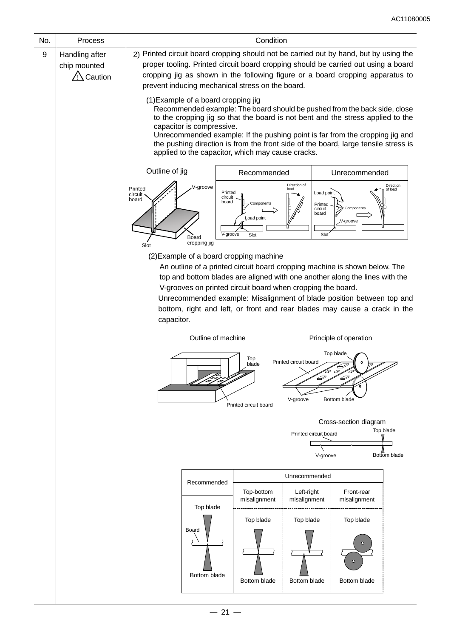| No. | Process                                   | Condition                                                                                                                                                                                                                                                                                                                                                                                                                                                                                                                                                                                                                                                                                                                                                                        |                                         |                                  |                                                                           |                                                         |                           |  |  |
|-----|-------------------------------------------|----------------------------------------------------------------------------------------------------------------------------------------------------------------------------------------------------------------------------------------------------------------------------------------------------------------------------------------------------------------------------------------------------------------------------------------------------------------------------------------------------------------------------------------------------------------------------------------------------------------------------------------------------------------------------------------------------------------------------------------------------------------------------------|-----------------------------------------|----------------------------------|---------------------------------------------------------------------------|---------------------------------------------------------|---------------------------|--|--|
| 9   | Handling after<br>chip mounted<br>Caution | 2) Printed circuit board cropping should not be carried out by hand, but by using the<br>proper tooling. Printed circuit board cropping should be carried out using a board<br>cropping jig as shown in the following figure or a board cropping apparatus to<br>prevent inducing mechanical stress on the board.<br>(1) Example of a board cropping jig<br>Recommended example: The board should be pushed from the back side, close<br>to the cropping jig so that the board is not bent and the stress applied to the<br>capacitor is compressive.<br>Unrecommended example: If the pushing point is far from the cropping jig and<br>the pushing direction is from the front side of the board, large tensile stress is<br>applied to the capacitor, which may cause cracks. |                                         |                                  |                                                                           |                                                         |                           |  |  |
|     |                                           | Outline of jig<br>Unrecommended<br>Recommended                                                                                                                                                                                                                                                                                                                                                                                                                                                                                                                                                                                                                                                                                                                                   |                                         |                                  |                                                                           |                                                         |                           |  |  |
|     |                                           | V-groove<br>Printed<br>circuit<br>board<br>Board<br>cropping jig<br>Slot                                                                                                                                                                                                                                                                                                                                                                                                                                                                                                                                                                                                                                                                                                         | Printed<br>circuit<br>board<br>V-groove | Components<br>Load point<br>Slot | Direction of<br>load<br>Load point<br>Printed<br>circuit<br>board<br>Slot | Components<br>V-groove                                  | Direction<br>of load      |  |  |
|     |                                           | (2) Example of a board cropping machine<br>An outline of a printed circuit board cropping machine is shown below. The<br>top and bottom blades are aligned with one another along the lines with the<br>V-grooves on printed circuit board when cropping the board.<br>Unrecommended example: Misalignment of blade position between top and<br>bottom, right and left, or front and rear blades may cause a crack in the<br>capacitor.                                                                                                                                                                                                                                                                                                                                          |                                         |                                  |                                                                           |                                                         |                           |  |  |
|     |                                           | Outline of machine                                                                                                                                                                                                                                                                                                                                                                                                                                                                                                                                                                                                                                                                                                                                                               |                                         | Top<br>blade                     | Printed circuit board<br>D                                                | Principle of operation<br>Top blade<br>$\mathbf 0$<br>D |                           |  |  |
|     |                                           |                                                                                                                                                                                                                                                                                                                                                                                                                                                                                                                                                                                                                                                                                                                                                                                  |                                         | Printed circuit board            | V-groove                                                                  | Bottom blade                                            |                           |  |  |
|     |                                           |                                                                                                                                                                                                                                                                                                                                                                                                                                                                                                                                                                                                                                                                                                                                                                                  |                                         |                                  | Printed circuit board<br>V-groove                                         | Cross-section diagram                                   | Top blade<br>Bottom blade |  |  |
|     |                                           |                                                                                                                                                                                                                                                                                                                                                                                                                                                                                                                                                                                                                                                                                                                                                                                  |                                         |                                  | Unrecommended                                                             |                                                         |                           |  |  |
|     |                                           | Left-right<br>misalignment                                                                                                                                                                                                                                                                                                                                                                                                                                                                                                                                                                                                                                                                                                                                                       | Front-rear<br>misalignment              |                                  |                                                                           |                                                         |                           |  |  |
|     |                                           | Top blade<br>Board<br>Bottom blade                                                                                                                                                                                                                                                                                                                                                                                                                                                                                                                                                                                                                                                                                                                                               |                                         | Top blade<br>Bottom blade        | Top blade<br>Bottom blade                                                 | Top blade<br>$\circ$<br>Bottom blade                    |                           |  |  |
|     |                                           |                                                                                                                                                                                                                                                                                                                                                                                                                                                                                                                                                                                                                                                                                                                                                                                  |                                         |                                  |                                                                           |                                                         |                           |  |  |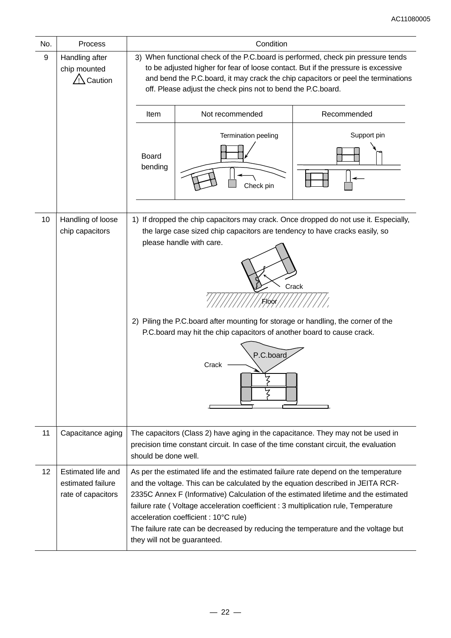| No. | <b>Process</b>                                                | Condition                                                                                                                                                                                                                                                                                                                                                                                                                                                                                                         |                                  |             |  |  |  |  |
|-----|---------------------------------------------------------------|-------------------------------------------------------------------------------------------------------------------------------------------------------------------------------------------------------------------------------------------------------------------------------------------------------------------------------------------------------------------------------------------------------------------------------------------------------------------------------------------------------------------|----------------------------------|-------------|--|--|--|--|
| 9   | Handling after<br>chip mounted<br>Caution                     | 3) When functional check of the P.C.board is performed, check pin pressure tends<br>to be adjusted higher for fear of loose contact. But if the pressure is excessive<br>and bend the P.C.board, it may crack the chip capacitors or peel the terminations<br>off. Please adjust the check pins not to bend the P.C.board.                                                                                                                                                                                        |                                  |             |  |  |  |  |
|     |                                                               | Item                                                                                                                                                                                                                                                                                                                                                                                                                                                                                                              | Not recommended                  | Recommended |  |  |  |  |
|     |                                                               | <b>Board</b><br>bending                                                                                                                                                                                                                                                                                                                                                                                                                                                                                           | Termination peeling<br>Check pin | Support pin |  |  |  |  |
| 10  | Handling of loose<br>chip capacitors                          | 1) If dropped the chip capacitors may crack. Once dropped do not use it. Especially,<br>the large case sized chip capacitors are tendency to have cracks easily, so<br>please handle with care.<br>Crack<br>2) Piling the P.C.board after mounting for storage or handling, the corner of the<br>P.C.board may hit the chip capacitors of another board to cause crack.<br>P.C.board<br>Crack                                                                                                                     |                                  |             |  |  |  |  |
| 11  | Capacitance aging                                             | The capacitors (Class 2) have aging in the capacitance. They may not be used in<br>precision time constant circuit. In case of the time constant circuit, the evaluation<br>should be done well.                                                                                                                                                                                                                                                                                                                  |                                  |             |  |  |  |  |
| 12  | Estimated life and<br>estimated failure<br>rate of capacitors | As per the estimated life and the estimated failure rate depend on the temperature<br>and the voltage. This can be calculated by the equation described in JEITA RCR-<br>2335C Annex F (Informative) Calculation of the estimated lifetime and the estimated<br>failure rate (Voltage acceleration coefficient : 3 multiplication rule, Temperature<br>acceleration coefficient : 10°C rule)<br>The failure rate can be decreased by reducing the temperature and the voltage but<br>they will not be guaranteed. |                                  |             |  |  |  |  |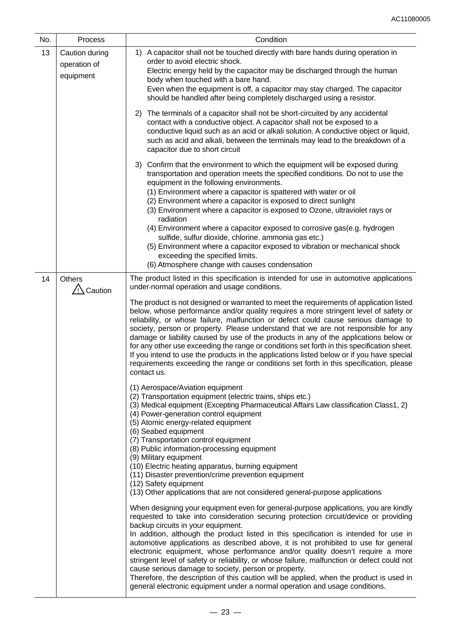| No. | Process                                     | Condition                                                                                                                                                                                                                                                                                                                                                                                                                                                                                                                                                                                                                                                                                                                                                                                                           |  |  |  |  |  |
|-----|---------------------------------------------|---------------------------------------------------------------------------------------------------------------------------------------------------------------------------------------------------------------------------------------------------------------------------------------------------------------------------------------------------------------------------------------------------------------------------------------------------------------------------------------------------------------------------------------------------------------------------------------------------------------------------------------------------------------------------------------------------------------------------------------------------------------------------------------------------------------------|--|--|--|--|--|
| 13  | Caution during<br>operation of<br>equipment | 1) A capacitor shall not be touched directly with bare hands during operation in<br>order to avoid electric shock.<br>Electric energy held by the capacitor may be discharged through the human<br>body when touched with a bare hand.<br>Even when the equipment is off, a capacitor may stay charged. The capacitor<br>should be handled after being completely discharged using a resistor.                                                                                                                                                                                                                                                                                                                                                                                                                      |  |  |  |  |  |
|     |                                             | The terminals of a capacitor shall not be short-circuited by any accidental<br>2)<br>contact with a conductive object. A capacitor shall not be exposed to a<br>conductive liquid such as an acid or alkali solution. A conductive object or liquid,<br>such as acid and alkali, between the terminals may lead to the breakdown of a<br>capacitor due to short circuit                                                                                                                                                                                                                                                                                                                                                                                                                                             |  |  |  |  |  |
|     |                                             | 3) Confirm that the environment to which the equipment will be exposed during<br>transportation and operation meets the specified conditions. Do not to use the<br>equipment in the following environments.<br>(1) Environment where a capacitor is spattered with water or oil<br>(2) Environment where a capacitor is exposed to direct sunlight<br>(3) Environment where a capacitor is exposed to Ozone, ultraviolet rays or<br>radiation<br>(4) Environment where a capacitor exposed to corrosive gas (e.g. hydrogen<br>sulfide, sulfur dioxide, chlorine. ammonia gas etc.)<br>(5) Environment where a capacitor exposed to vibration or mechanical shock<br>exceeding the specified limits.                                                                                                                 |  |  |  |  |  |
|     |                                             | (6) Atmosphere change with causes condensation                                                                                                                                                                                                                                                                                                                                                                                                                                                                                                                                                                                                                                                                                                                                                                      |  |  |  |  |  |
| 14  | <b>Others</b><br>Caution                    | The product listed in this specification is intended for use in automotive applications<br>under-normal operation and usage conditions.                                                                                                                                                                                                                                                                                                                                                                                                                                                                                                                                                                                                                                                                             |  |  |  |  |  |
|     |                                             | The product is not designed or warranted to meet the requirements of application listed<br>below, whose performance and/or quality requires a more stringent level of safety or<br>reliability, or whose failure, malfunction or defect could cause serious damage to<br>society, person or property. Please understand that we are not responsible for any<br>damage or liability caused by use of the products in any of the applications below or<br>for any other use exceeding the range or conditions set forth in this specification sheet.<br>If you intend to use the products in the applications listed below or if you have special<br>requirements exceeding the range or conditions set forth in this specification, please<br>contact us.                                                            |  |  |  |  |  |
|     |                                             | (1) Aerospace/Aviation equipment<br>(2) Transportation equipment (electric trains, ships etc.)<br>(3) Medical equipment (Excepting Pharmaceutical Affairs Law classification Class1, 2)<br>(4) Power-generation control equipment<br>(5) Atomic energy-related equipment<br>(6) Seabed equipment<br>(7) Transportation control equipment<br>(8) Public information-processing equipment<br>(9) Military equipment<br>(10) Electric heating apparatus, burning equipment<br>(11) Disaster prevention/crime prevention equipment<br>(12) Safety equipment<br>(13) Other applications that are not considered general-purpose applications                                                                                                                                                                             |  |  |  |  |  |
|     |                                             | When designing your equipment even for general-purpose applications, you are kindly<br>requested to take into consideration securing protection circuit/device or providing<br>backup circuits in your equipment.<br>In addition, although the product listed in this specification is intended for use in<br>automotive applications as described above, it is not prohibited to use for general<br>electronic equipment, whose performance and/or quality doesn't require a more<br>stringent level of safety or reliability, or whose failure, malfunction or defect could not<br>cause serious damage to society, person or property.<br>Therefore, the description of this caution will be applied, when the product is used in<br>general electronic equipment under a normal operation and usage conditions. |  |  |  |  |  |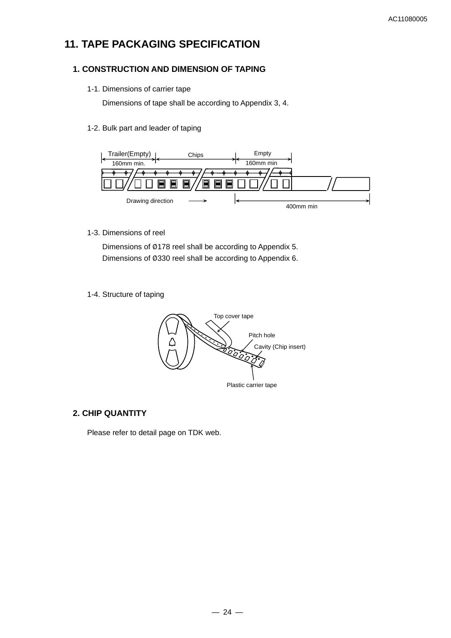# **11. TAPE PACKAGING SPECIFICATION**

#### **1. CONSTRUCTION AND DIMENSION OF TAPING**

1-1. Dimensions of carrier tape

Dimensions of tape shall be according to Appendix 3, 4.

1-2. Bulk part and leader of taping



1-3. Dimensions of reel

Dimensions of Ø178 reel shall be according to Appendix 5. Dimensions of Ø330 reel shall be according to Appendix 6.

1-4. Structure of taping



#### **2. CHIP QUANTITY**

Please refer to detail page on TDK web.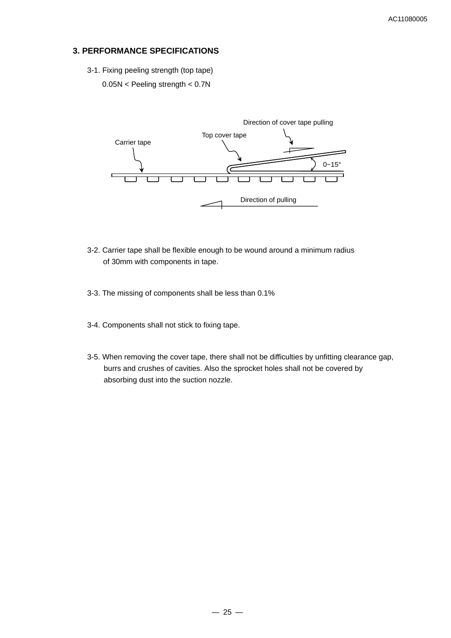#### **3. PERFORMANCE SPECIFICATIONS**

- 3-1. Fixing peeling strength (top tape)
	- 0.05N < Peeling strength < 0.7N



- 3-2. Carrier tape shall be flexible enough to be wound around a minimum radius of 30mm with components in tape.
- 3-3. The missing of components shall be less than 0.1%
- 3-4. Components shall not stick to fixing tape.
- 3-5. When removing the cover tape, there shall not be difficulties by unfitting clearance gap, burrs and crushes of cavities. Also the sprocket holes shall not be covered by absorbing dust into the suction nozzle.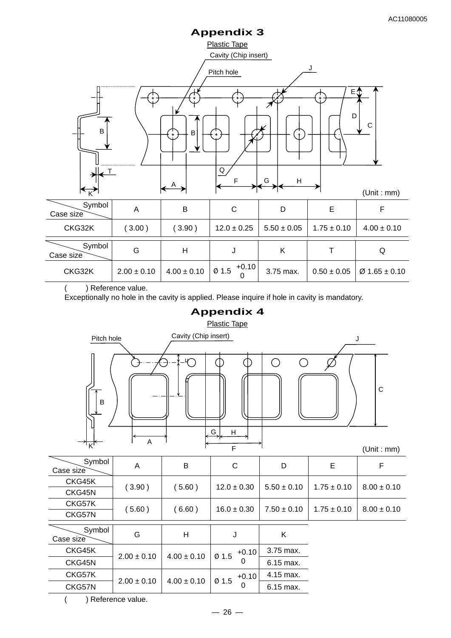# **Appendix 3**



) Reference value.

Exceptionally no hole in the cavity is applied. Please inquire if hole in cavity is mandatory.



( ) Reference value.